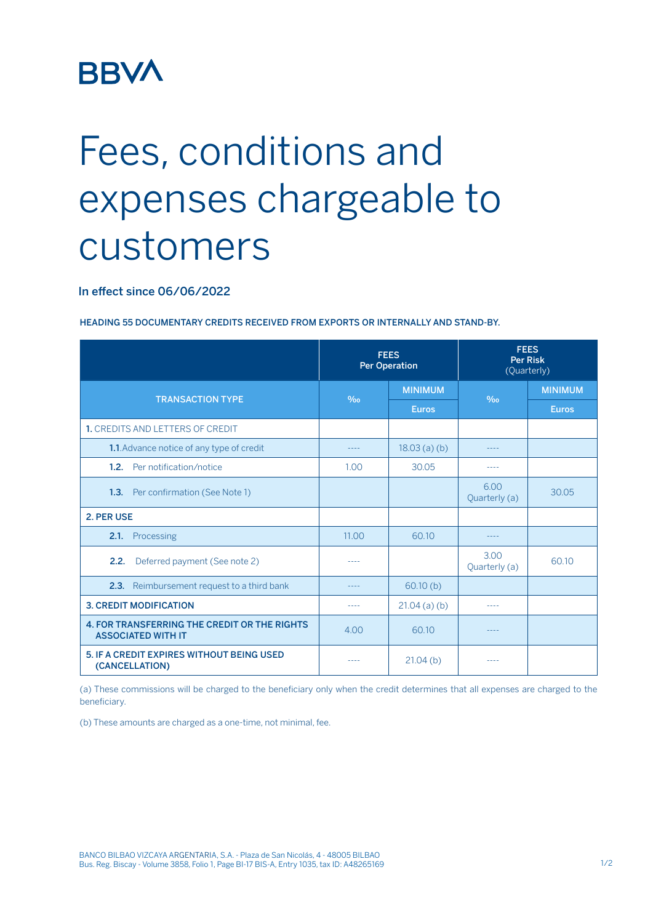## **BBVA**

## Fees, conditions and expenses chargeable to customers

In effect since 06/06/2022

HEADING 55 DOCUMENTARY CREDITS RECEIVED FROM EXPORTS OR INTERNALLY AND STAND-BY.

|                                                                           | <b>FEES</b><br><b>Per Operation</b> |                | <b>FEES</b><br><b>Per Risk</b><br>(Quarterly) |                |
|---------------------------------------------------------------------------|-------------------------------------|----------------|-----------------------------------------------|----------------|
| <b>TRANSACTION TYPE</b>                                                   | $\%$                                | <b>MINIMUM</b> | $\%$                                          | <b>MINIMUM</b> |
|                                                                           |                                     | <b>Euros</b>   |                                               | <b>Euros</b>   |
| 1. CREDITS AND LETTERS OF CREDIT                                          |                                     |                |                                               |                |
| 1.1. Advance notice of any type of credit                                 |                                     | $18.03(a)$ (b) |                                               |                |
| 1.2. Per notification/notice                                              | 1.00                                | 30.05          | ----                                          |                |
| <b>1.3.</b> Per confirmation (See Note 1)                                 |                                     |                | 6.00<br>Quarterly (a)                         | 30.05          |
| 2. PER USE                                                                |                                     |                |                                               |                |
| Processing<br>2.1.                                                        | 11.00                               | 60.10          |                                               |                |
| 2.2.<br>Deferred payment (See note 2)                                     |                                     |                | 3.00<br>Quarterly (a)                         | 60.10          |
| <b>2.3.</b> Reimbursement request to a third bank                         |                                     | 60.10(b)       |                                               |                |
| <b>3. CREDIT MODIFICATION</b>                                             | ----                                | $21.04(a)$ (b) | ----                                          |                |
| 4. FOR TRANSFERRING THE CREDIT OR THE RIGHTS<br><b>ASSOCIATED WITH IT</b> | 4.00                                | 60.10          |                                               |                |
| <b>5. IF A CREDIT EXPIRES WITHOUT BEING USED</b><br>(CANCELLATION)        |                                     | 21.04(b)       |                                               |                |

(a) These commissions will be charged to the beneficiary only when the credit determines that all expenses are charged to the beneficiary.

(b) These amounts are charged as a one-time, not minimal, fee.